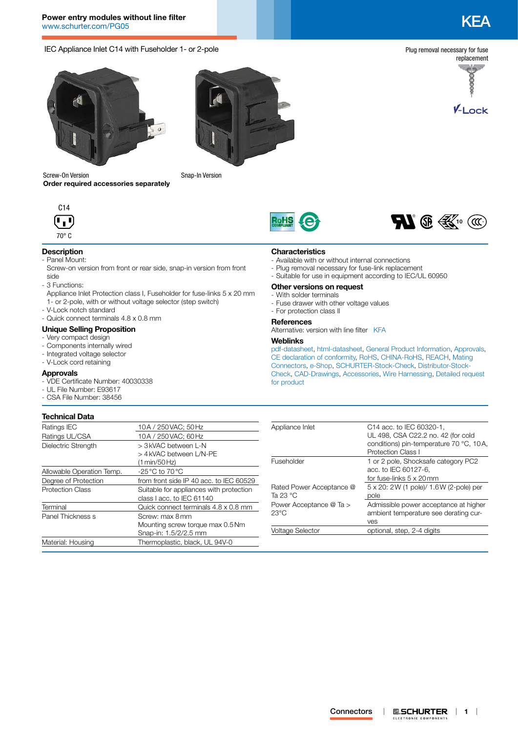# IEC Appliance Inlet C14 with Fuseholder 1- or 2-pole



replacement

ecece

V-Lock

Plug removal necessary for fuse





Screw-On Version **Order required accessories separately**







# **Description**

- Panel Mount:
- Screw-on version from front or rear side, snap-in version from front side
- 3 Functions:
- Appliance Inlet Protection class I, Fuseholder for fuse-links 5 x 20 mm 1- or 2-pole, with or without voltage selector (step switch)
- V-Lock notch standard
- Quick connect terminals 4.8 x 0.8 mm

#### **Unique Selling Proposition**

- Very compact design
- Components internally wired
- Integrated voltage selector
- V-Lock cord retaining

#### **Approvals**

- VDE Certificate Number: 40030338
- UL File Number: E93617
- CSA File Number: 38456

# **Technical Data**

#### - Suitable for use in equipment according to IEC/UL 60950 **Other versions on request** - With solder terminals

- Fuse drawer with other voltage values
	- For protection class II

**Characteristics**

#### **References**

Alternative: version with line filter [KFA](http://www.schurter.ch/pdf/english/typ_KFA.pdf)

- Available with or without internal connections - Plug removal necessary for fuse-link replacement

#### **Weblinks**

[pdf-datasheet](http://www.schurter.ch/pdf/english/typ_KEA.pdf), [html-datasheet](http://www.schurter.ch/en/datasheet/KEA), [General Product Information,](http://www.schurter.ch/products/iec_connector_overview.asp) [Approvals](http://www.schurter.ch/en/Documents-References/Approvals/(id)/KEA), [CE declaration of conformity,](http://www.schurter.com/en/Documents-References/Approvals/(id)/KEA+AND+FIELD+CertificationInstitute=SAG) [RoHS](http://www.schurter.ch/company/rohs.asp), [CHINA-RoHS](http://www.schurter.ch/company/china_rohs.asp), [REACH,](http://www.schurter.ch/REACH) [Mating](http://www.schurter.ch/Components/Connectors/Mating-Connectors)  [Connectors,](http://www.schurter.ch/Components/Connectors/Mating-Connectors) [e-Shop,](http://www.schurter.ch/en/datasheet/KEA#Anker_Variants) [SCHURTER-Stock-Check](http://www.schurter.ch/en/Stock-Check/Stock-Check-SCHURTER?MAKTX=KEA&COM_QTY=1&AUTOSEARCH=true), [Distributor-Stock-](http://www.schurter.com/en/Stock-Check/Stock-Check-Distributor?partnumber1=KEA)[Check](http://www.schurter.com/en/Stock-Check/Stock-Check-Distributor?partnumber1=KEA), [CAD-Drawings,](http://www.schurter.com/support/iframe_cad.asp?SearchText=KEA&ConfirmButton&SearchFilter=Type) [Accessories,](http://www.schurter.ch/wwwsc/con_z01.asp) [Wire Harnessing,](http://www.schurter.com/en/Components/Connectors/Wire-Harness-Request/(typ)/KEA) [Detailed request](http://www.schurter.com/en/Contacts/Contact-Form?type=KEA)  [for product](http://www.schurter.com/en/Contacts/Contact-Form?type=KEA)

| 10A / 250 VAC; 50 Hz                    | Appliance Inlet                                                                                                                  | C14 acc. to IEC 60320-1,                         |
|-----------------------------------------|----------------------------------------------------------------------------------------------------------------------------------|--------------------------------------------------|
|                                         |                                                                                                                                  | UL 498, CSA C22.2 no. 42 (for cold               |
| > 3 kVAC between L-N                    |                                                                                                                                  | conditions) pin-temperature 70 °C, 10A,          |
| > 4 kVAC between L/N-PE                 |                                                                                                                                  | <b>Protection Class I</b>                        |
| (1 min/50 Hz)                           | Fuseholder                                                                                                                       | 1 or 2 pole, Shocksafe category PC2              |
| -25 °C to 70 °C                         |                                                                                                                                  | acc. to IEC 60127-6,                             |
|                                         |                                                                                                                                  | for fuse-links 5 x 20mm                          |
| Suitable for appliances with protection | Rated Power Acceptance @<br>Ta 23 $^{\circ}$ C                                                                                   | 5 x 20: 2 W (1 pole)/ 1.6 W (2-pole) per<br>pole |
| Quick connect terminals 4.8 x 0.8 mm    | Power Acceptance @ Ta >                                                                                                          | Admissible power acceptance at higher            |
| Screw: max 8 mm                         |                                                                                                                                  | ambient temperature see derating cur-            |
|                                         |                                                                                                                                  | ves                                              |
| Snap-in: 1.5/2/2.5 mm                   | <b>Voltage Selector</b>                                                                                                          | optional, step, 2-4 digits                       |
| Thermoplastic, black, UL 94V-0          |                                                                                                                                  |                                                  |
|                                         | 10A / 250 VAC: 60 Hz<br>from front side IP 40 acc. to IEC 60529<br>class I acc. to IEC 61140<br>Mounting screw torque max 0.5 Nm | $23^{\circ}$ C                                   |





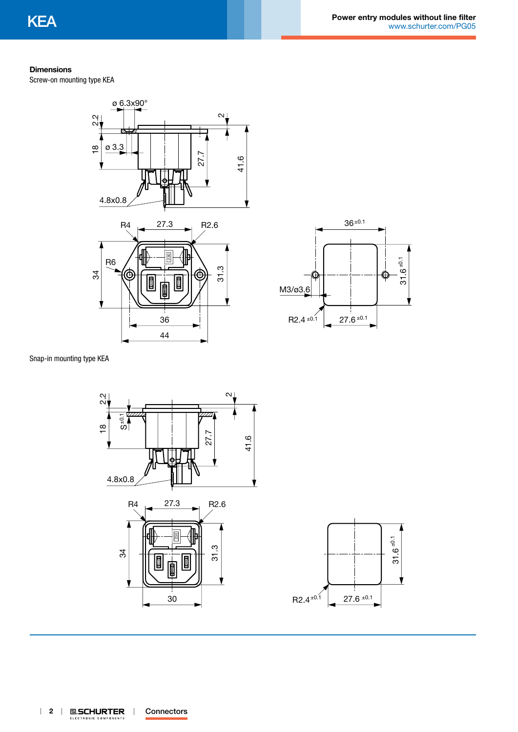## **Dimensions**

Screw-on mounting type KEA







Snap-in mounting type KEA

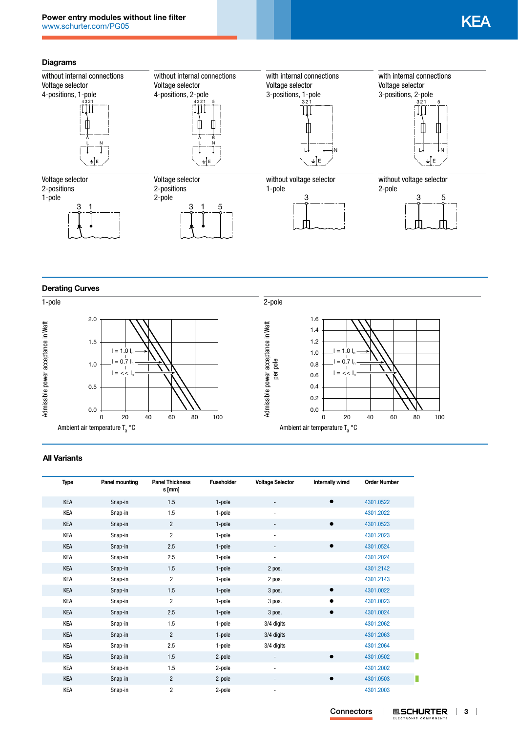# **Diagrams**



**Derating Curves**



## **All Variants**

| <b>Type</b> | Panel mounting | <b>Panel Thickness</b><br>s [mm] | <b>Fuseholder</b> | <b>Voltage Selector</b>  | Internally wired | <b>Order Number</b> |
|-------------|----------------|----------------------------------|-------------------|--------------------------|------------------|---------------------|
| KEA         | Snap-in        | 1.5                              | 1-pole            | $\overline{\phantom{a}}$ |                  | 4301.0522           |
| KEA         | Snap-in        | 1.5                              | 1-pole            | $\overline{\phantom{a}}$ |                  | 4301.2022           |
| <b>KEA</b>  | Snap-in        | $\overline{2}$                   | 1-pole            |                          | $\bullet$        | 4301.0523           |
| KEA         | Snap-in        | $\overline{2}$                   | 1-pole            |                          |                  | 4301.2023           |
| KEA         | Snap-in        | 2.5                              | 1-pole            |                          |                  | 4301.0524           |
| KEA         | Snap-in        | 2.5                              | 1-pole            |                          |                  | 4301.2024           |
| <b>KEA</b>  | Snap-in        | 1.5                              | 1-pole            | 2 pos.                   |                  | 4301.2142           |
| KEA         | Snap-in        | 2                                | 1-pole            | 2 pos.                   |                  | 4301.2143           |
| KEA         | Snap-in        | 1.5                              | 1-pole            | 3 pos.                   |                  | 4301.0022           |
| KEA         | Snap-in        | $\overline{2}$                   | 1-pole            | 3 pos.                   |                  | 4301.0023           |
| <b>KEA</b>  | Snap-in        | 2.5                              | 1-pole            | 3 pos.                   | $\bullet$        | 4301.0024           |
| KEA         | Snap-in        | 1.5                              | 1-pole            | 3/4 digits               |                  | 4301.2062           |
| KEA         | Snap-in        | $\overline{2}$                   | 1-pole            | 3/4 digits               |                  | 4301.2063           |
| KEA         | Snap-in        | 2.5                              | 1-pole            | 3/4 digits               |                  | 4301.2064           |
| KEA         | Snap-in        | 1.5                              | 2-pole            | -                        |                  | 4301.0502           |
| KEA         | Snap-in        | 1.5                              | 2-pole            | $\overline{\phantom{a}}$ |                  | 4301.2002           |
| KEA         | Snap-in        | $\overline{c}$                   | 2-pole            |                          | $\bullet$        | 4301.0503           |
| KEA         | Snap-in        | $\overline{c}$                   | 2-pole            |                          |                  | 4301.2003           |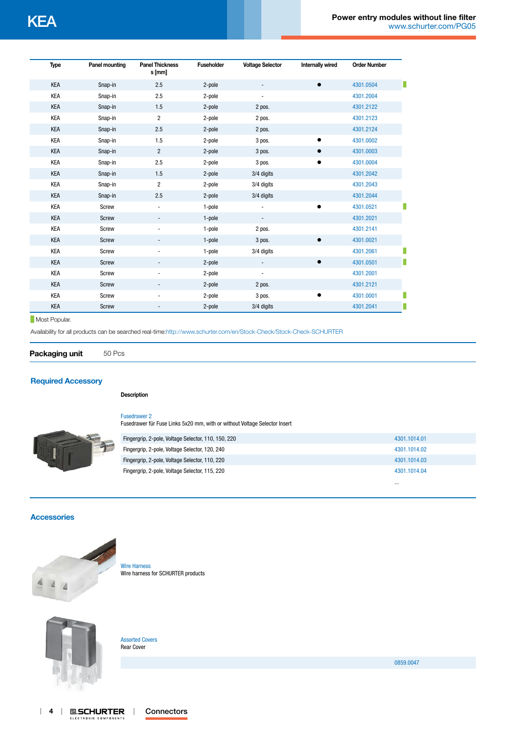| <b>Type</b> | <b>Panel mounting</b> | <b>Panel Thickness</b><br>s [mm] | <b>Fuseholder</b> | <b>Voltage Selector</b> | <b>Internally wired</b> | <b>Order Number</b> |   |
|-------------|-----------------------|----------------------------------|-------------------|-------------------------|-------------------------|---------------------|---|
| KEA         | Snap-in               | 2.5                              | 2-pole            |                         | $\bullet$               | 4301.0504           | п |
| <b>KEA</b>  | Snap-in               | 2.5                              | 2-pole            |                         |                         | 4301.2004           |   |
| <b>KEA</b>  | Snap-in               | 1.5                              | 2-pole            | 2 pos.                  |                         | 4301.2122           |   |
| <b>KEA</b>  | Snap-in               | $\overline{2}$                   | 2-pole            | 2 pos.                  |                         | 4301.2123           |   |
| <b>KEA</b>  | Snap-in               | 2.5                              | 2-pole            | 2 pos.                  |                         | 4301.2124           |   |
| KEA         | Snap-in               | 1.5                              | 2-pole            | 3 pos.                  |                         | 4301.0002           |   |
| KEA         | Snap-in               | $\overline{2}$                   | 2-pole            | 3 pos.                  |                         | 4301.0003           |   |
| <b>KEA</b>  | Snap-in               | 2.5                              | 2-pole            | 3 pos.                  |                         | 4301.0004           |   |
| <b>KEA</b>  | Snap-in               | 1.5                              | 2-pole            | 3/4 digits              |                         | 4301.2042           |   |
| <b>KEA</b>  | Snap-in               | $\overline{2}$                   | 2-pole            | 3/4 digits              |                         | 4301.2043           |   |
| <b>KEA</b>  | Snap-in               | 2.5                              | 2-pole            | 3/4 digits              |                         | 4301.2044           |   |
| KEA         | Screw                 | $\overline{\phantom{a}}$         | 1-pole            |                         |                         | 4301.0521           |   |
| KEA         | Screw                 | $\overline{\phantom{a}}$         | 1-pole            |                         |                         | 4301.2021           |   |
| <b>KEA</b>  | Screw                 | ٠                                | 1-pole            | 2 pos.                  |                         | 4301.2141           |   |
| <b>KEA</b>  | <b>Screw</b>          |                                  | 1-pole            | 3 pos.                  | $\bullet$               | 4301.0021           |   |
| KEA         | Screw                 |                                  | 1-pole            | 3/4 digits              |                         | 4301.2061           | ٠ |
| KEA         | Screw                 | ٠                                | 2-pole            |                         |                         | 4301.0501           | П |
| <b>KEA</b>  | Screw                 |                                  | 2-pole            | $\blacksquare$          |                         | 4301.2001           |   |
| <b>KEA</b>  | Screw                 | $\overline{a}$                   | 2-pole            | 2 pos.                  |                         | 4301.2121           |   |
| KEA         | Screw                 |                                  | 2-pole            | 3 pos.                  | $\bullet$               | 4301.0001           |   |
| <b>KEA</b>  | <b>Screw</b>          |                                  | 2-pole            | 3/4 digits              |                         | 4301.2041           | ۰ |

#### **Most Popular.**

Availability for all products can be searched real-time:<http://www.schurter.com/en/Stock-Check/Stock-Check-SCHURTER>

**Packaging unit** 50 Pcs

## **[Required Accessory](http://www.schurter.ch/wwwsc/con_z01.asp)**

#### **Description**

[Fusedrawer 2](http://www.schurter.ch/pdf/english/typ_Fusedrawer_2.pdf)

Fusedrawer für Fuse Links 5x20 mm, with or without Voltage Selector Insert

|  | Fingergrip, 2-pole, Voltage Selector, 110, 150, 220 | 4301.1014.01 |
|--|-----------------------------------------------------|--------------|
|  | Fingergrip, 2-pole, Voltage Selector, 120, 240      | 4301.1014.02 |
|  | Fingergrip, 2-pole, Voltage Selector, 110, 220      | 4301.1014.03 |
|  | Fingergrip, 2-pole, Voltage Selector, 115, 220      | 4301.1014.04 |
|  |                                                     |              |

### **[Accessories](http://www.schurter.ch/wwwsc/con_z01.asp)**



[Wire Harness](http://www.schurter.ch/pdf/english/typ_Wire_Harness.pdf) Wire harness for SCHURTER products



[Assorted Covers](http://www.schurter.ch/pdf/english/typ_Assorted_Covers.pdf) Rear Cover

[0859.0047](http://www.schurter.ch/part/0859.0047)

...